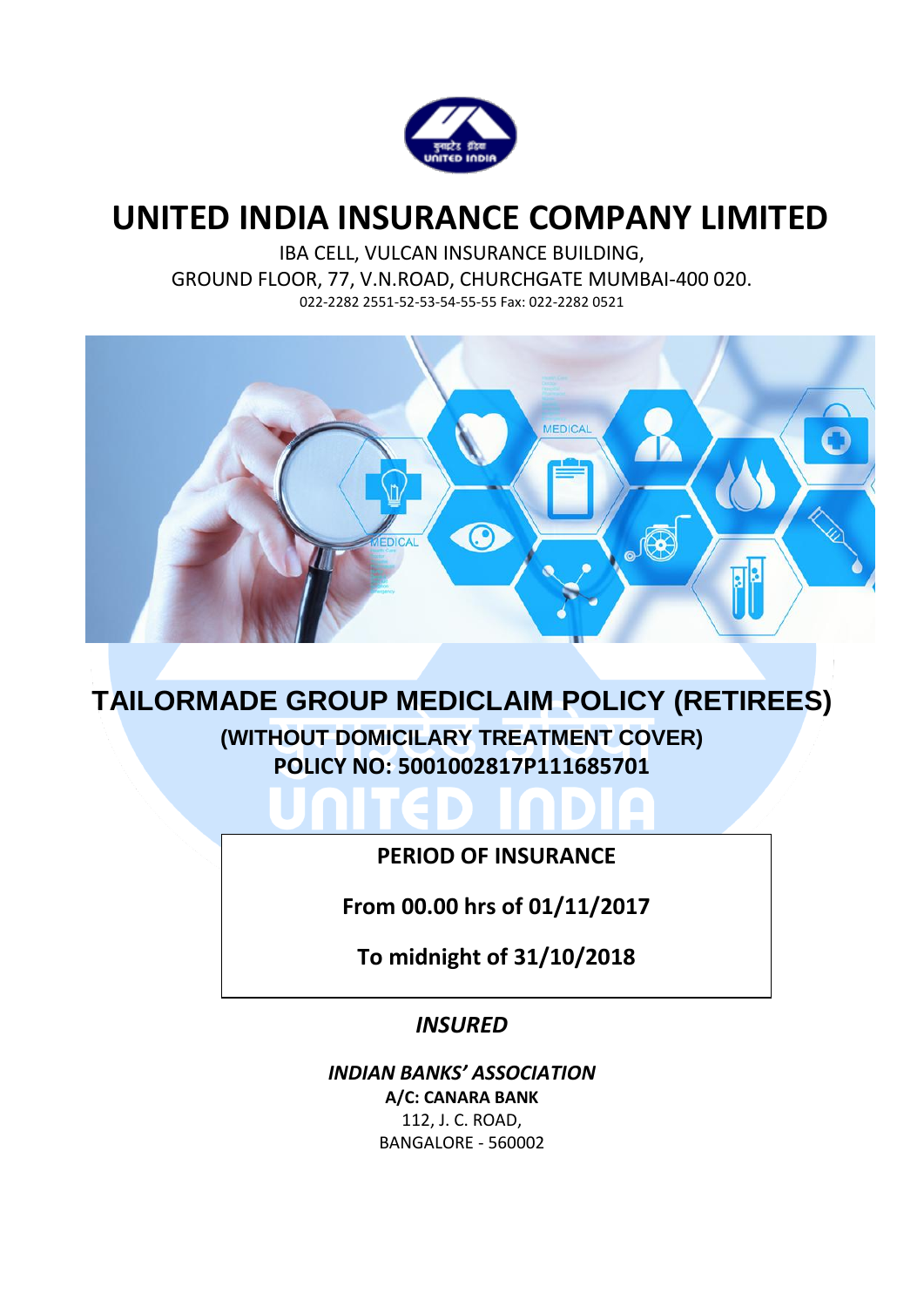

# **UNITED INDIA INSURANCE COMPANY LIMITED**

IBA CELL, VULCAN INSURANCE BUILDING, GROUND FLOOR, 77, V.N.ROAD, CHURCHGATE MUMBAI-400 020. 022-2282 2551-52-53-54-55-55 Fax: 022-2282 0521



# **TAILORMADE GROUP MEDICLAIM POLICY (RETIREES) (WITHOUT DOMICILARY TREATMENT COVER) POLICY NO: 5001002817P111685701**

## **PERIOD OF INSURANCE**

O **COL** 

**From 00.00 hrs of 01/11/2017**

**To midnight of 31/10/2018**

## *INSURED*

*INDIAN BANKS' ASSOCIATION* **A/C: CANARA BANK** 112, J. C. ROAD, BANGALORE - 560002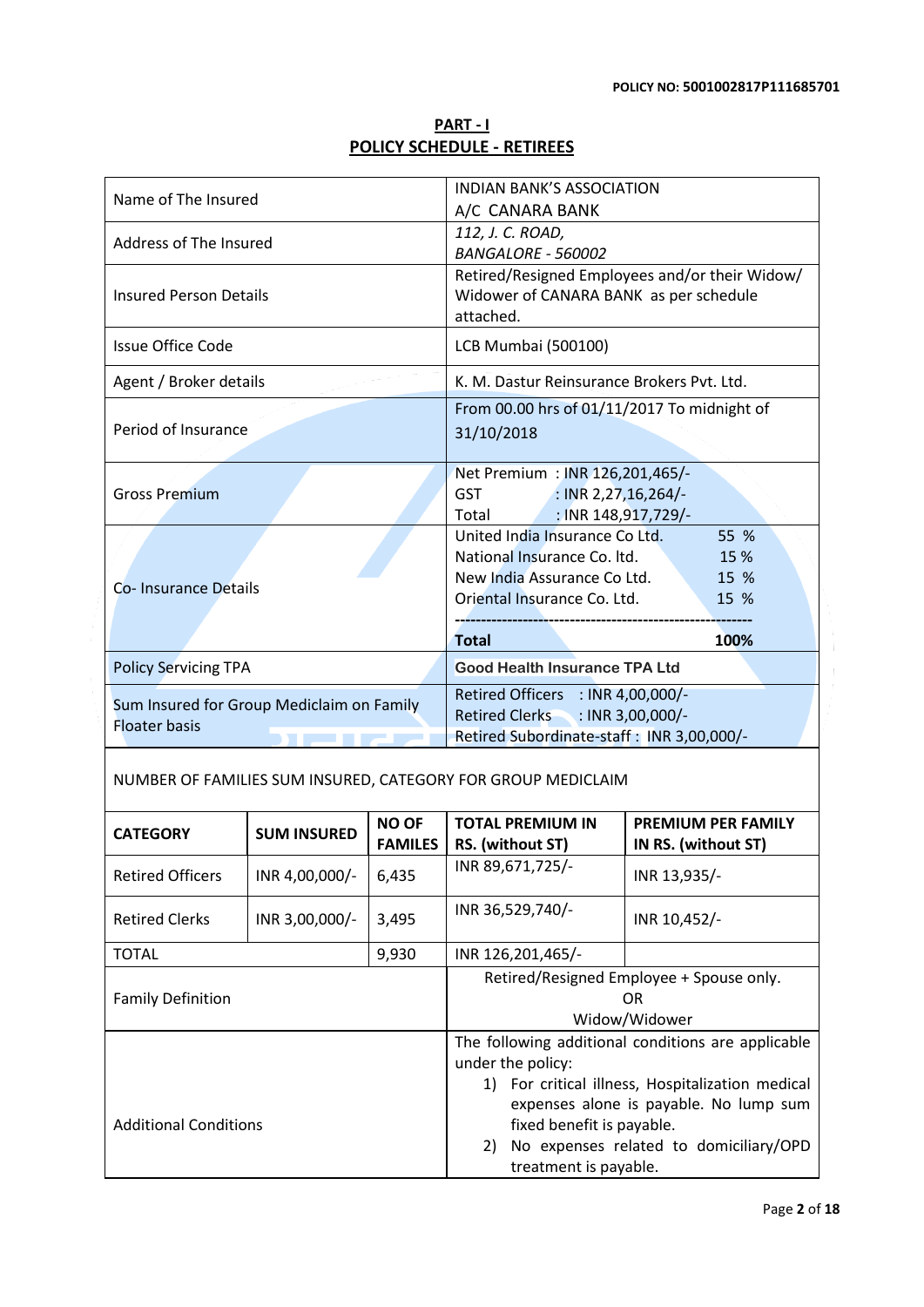| <b>PART-1</b>                     |  |
|-----------------------------------|--|
| <b>POLICY SCHEDULE - RETIREES</b> |  |

| Name of The Insured                                               |                    | <b>INDIAN BANK'S ASSOCIATION</b><br>A/C CANARA BANK                                                                                         |                                                                               |                                                                                                                                                                                            |  |
|-------------------------------------------------------------------|--------------------|---------------------------------------------------------------------------------------------------------------------------------------------|-------------------------------------------------------------------------------|--------------------------------------------------------------------------------------------------------------------------------------------------------------------------------------------|--|
| Address of The Insured                                            |                    | 112, J. C. ROAD,                                                                                                                            |                                                                               |                                                                                                                                                                                            |  |
| <b>Insured Person Details</b>                                     |                    | <b>BANGALORE - 560002</b><br>Retired/Resigned Employees and/or their Widow/<br>Widower of CANARA BANK as per schedule<br>attached.          |                                                                               |                                                                                                                                                                                            |  |
| <b>Issue Office Code</b>                                          |                    |                                                                                                                                             | LCB Mumbai (500100)                                                           |                                                                                                                                                                                            |  |
| Agent / Broker details                                            |                    |                                                                                                                                             | K. M. Dastur Reinsurance Brokers Pvt. Ltd.                                    |                                                                                                                                                                                            |  |
| Period of Insurance                                               |                    | From 00.00 hrs of 01/11/2017 To midnight of<br>31/10/2018                                                                                   |                                                                               |                                                                                                                                                                                            |  |
| <b>Gross Premium</b>                                              |                    | Net Premium : INR 126,201,465/-<br><b>GST</b><br>$\therefore$ INR 2,27,16,264/-<br>Total American                                           | : INR 148,917,729/-                                                           |                                                                                                                                                                                            |  |
| Co-Insurance Details                                              |                    | United India Insurance Co Ltd.<br>National Insurance Co. Itd.<br>New India Assurance Co Ltd.<br>Oriental Insurance Co. Ltd.<br><b>Total</b> | 55 %<br>15 %<br>15 %<br>15 %<br>100%                                          |                                                                                                                                                                                            |  |
| <b>Policy Servicing TPA</b>                                       |                    | <b>Good Health Insurance TPA Ltd</b>                                                                                                        |                                                                               |                                                                                                                                                                                            |  |
| Sum Insured for Group Mediclaim on Family<br><b>Floater basis</b> |                    | Retired Officers : INR 4,00,000/-<br>Retired Clerks : INR 3,00,000/-<br>Retired Subordinate-staff: INR 3,00,000/-                           |                                                                               |                                                                                                                                                                                            |  |
| NUMBER OF FAMILIES SUM INSURED, CATEGORY FOR GROUP MEDICLAIM      |                    |                                                                                                                                             |                                                                               |                                                                                                                                                                                            |  |
| <b>CATEGORY</b>                                                   | <b>SUM INSURED</b> | <b>NO OF</b><br><b>FAMILES</b>                                                                                                              | <b>TOTAL PREMIUM IN</b><br>RS. (without ST)                                   | <b>PREMIUM PER FAMILY</b><br>IN RS. (without ST)                                                                                                                                           |  |
| <b>Retired Officers</b>                                           | INR 4,00,000/-     | 6,435                                                                                                                                       | INR 89,671,725/-                                                              | INR 13,935/-                                                                                                                                                                               |  |
| <b>Retired Clerks</b>                                             | INR 3,00,000/-     | 3,495                                                                                                                                       | INR 36,529,740/-                                                              | INR 10,452/-                                                                                                                                                                               |  |
| <b>TOTAL</b>                                                      |                    | 9,930                                                                                                                                       | INR 126,201,465/-                                                             |                                                                                                                                                                                            |  |
| <b>Family Definition</b>                                          |                    |                                                                                                                                             |                                                                               | Retired/Resigned Employee + Spouse only.<br>OR<br>Widow/Widower                                                                                                                            |  |
| <b>Additional Conditions</b>                                      |                    |                                                                                                                                             | under the policy:<br>fixed benefit is payable.<br>2)<br>treatment is payable. | The following additional conditions are applicable<br>1) For critical illness, Hospitalization medical<br>expenses alone is payable. No lump sum<br>No expenses related to domiciliary/OPD |  |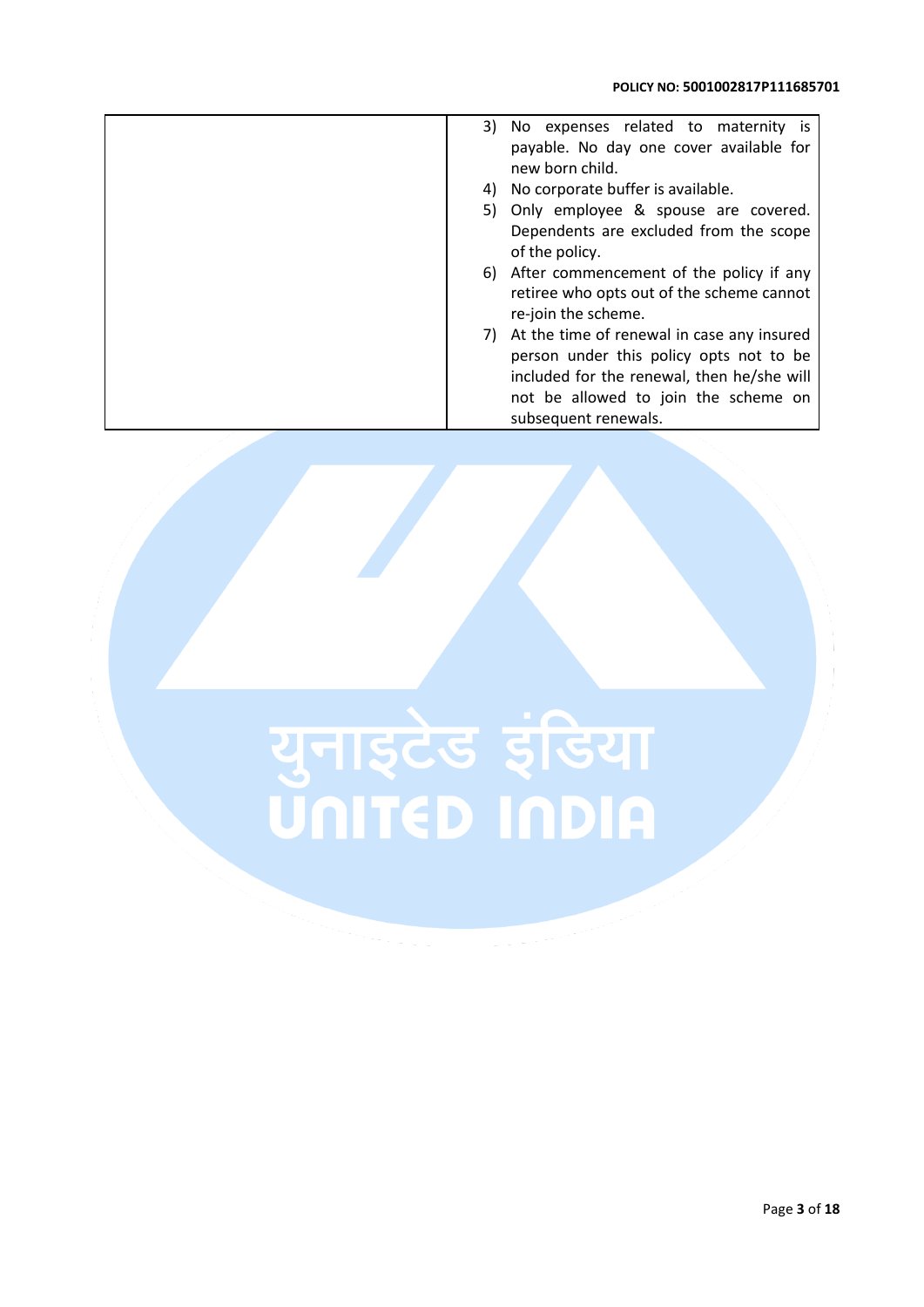| No expenses related to maternity is<br>3)                        |
|------------------------------------------------------------------|
| payable. No day one cover available for<br>new born child.       |
| No corporate buffer is available.<br>4)                          |
| 5) Only employee & spouse are covered.                           |
| Dependents are excluded from the scope                           |
| of the policy.                                                   |
| 6) After commencement of the policy if any                       |
| retiree who opts out of the scheme cannot<br>re-join the scheme. |
| 7) At the time of renewal in case any insured                    |
| person under this policy opts not to be                          |
| included for the renewal, then he/she will                       |
| not be allowed to join the scheme on                             |
| subsequent renewals.                                             |

# युनाइटेड इंडिया<br>UNITED INDIA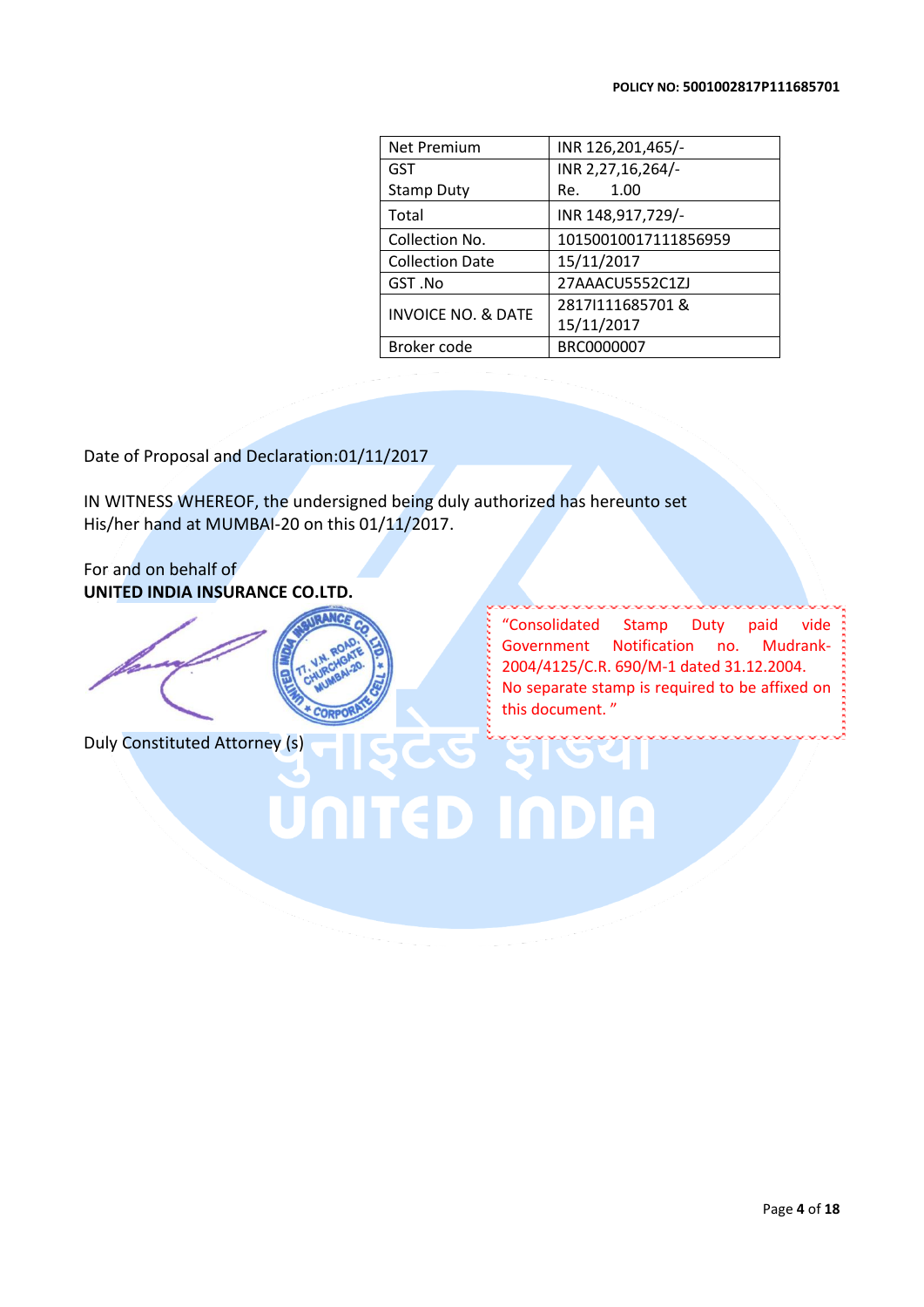| <b>Net Premium</b>            | INR 126,201,465/-    |
|-------------------------------|----------------------|
| <b>GST</b>                    | INR 2,27,16,264/-    |
| <b>Stamp Duty</b>             | 1.00<br>Re.          |
| Total                         | INR 148,917,729/-    |
| Collection No.                | 10150010017111856959 |
| <b>Collection Date</b>        | 15/11/2017           |
| GST.No                        | 27AAACU5552C1ZJ      |
| <b>INVOICE NO. &amp; DATE</b> | 2817 111685701&      |
|                               | 15/11/2017           |
| Broker code                   | BRC0000007           |

Date of Proposal and Declaration:01/11/2017

IN WITNESS WHEREOF, the undersigned being duly authorized has hereunto set His/her hand at MUMBAI-20 on this 01/11/2017.

For and on behalf of **UNITED INDIA INSURANCE CO.LTD.**



Duly Constituted Attorney (s)

"Consolidated Stamp Duty paid vide Government Notification no. Mudrank-2004/4125/C.R. 690/M-1 dated 31.12.2004. No separate stamp is required to be affixed on this document. "

UNITED INDIA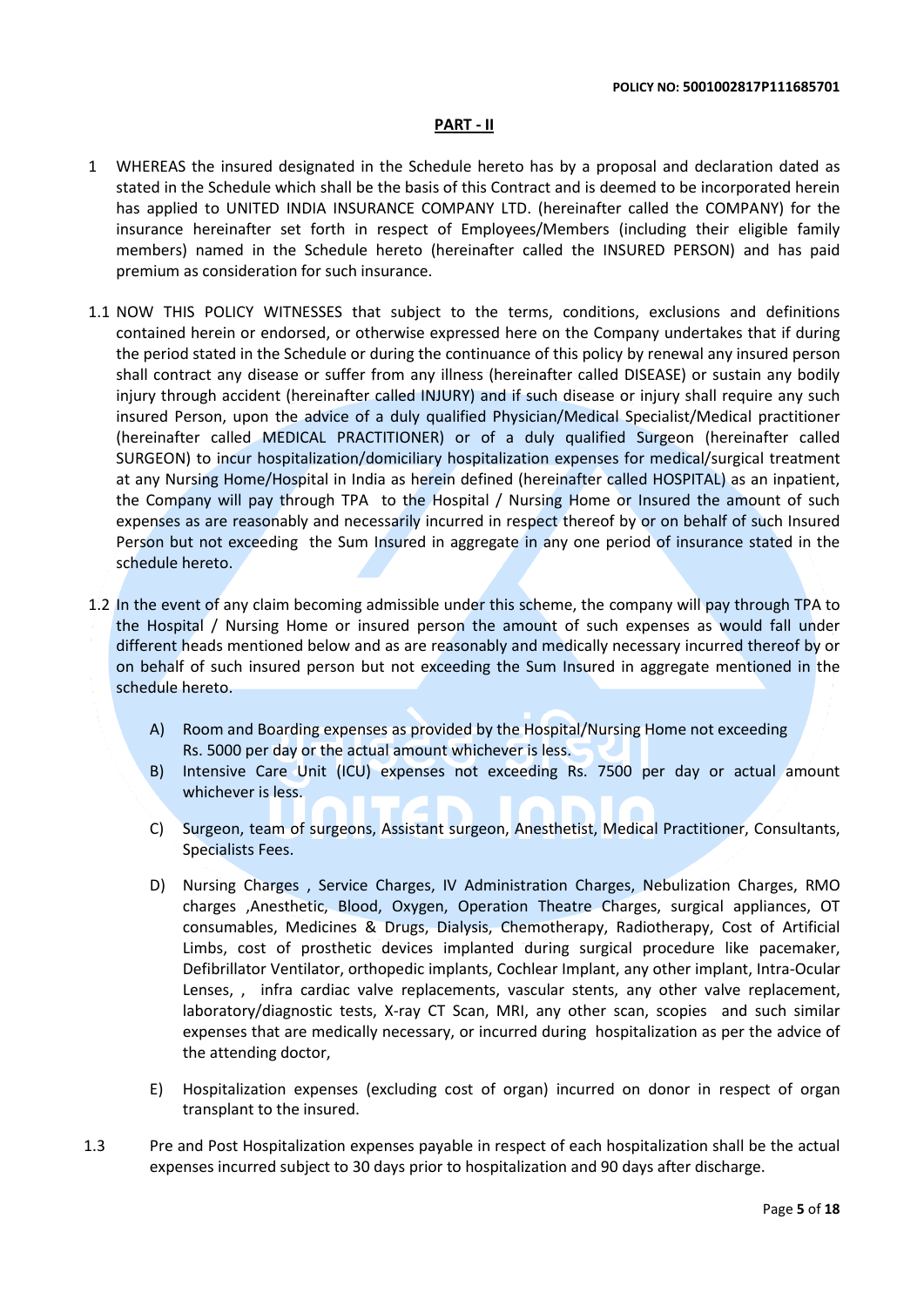### **PART - II**

- 1 WHEREAS the insured designated in the Schedule hereto has by a proposal and declaration dated as stated in the Schedule which shall be the basis of this Contract and is deemed to be incorporated herein has applied to UNITED INDIA INSURANCE COMPANY LTD. (hereinafter called the COMPANY) for the insurance hereinafter set forth in respect of Employees/Members (including their eligible family members) named in the Schedule hereto (hereinafter called the INSURED PERSON) and has paid premium as consideration for such insurance.
- 1.1 NOW THIS POLICY WITNESSES that subject to the terms, conditions, exclusions and definitions contained herein or endorsed, or otherwise expressed here on the Company undertakes that if during the period stated in the Schedule or during the continuance of this policy by renewal any insured person shall contract any disease or suffer from any illness (hereinafter called DISEASE) or sustain any bodily injury through accident (hereinafter called INJURY) and if such disease or injury shall require any such insured Person, upon the advice of a duly qualified Physician/Medical Specialist/Medical practitioner (hereinafter called MEDICAL PRACTITIONER) or of a duly qualified Surgeon (hereinafter called SURGEON) to incur hospitalization/domiciliary hospitalization expenses for medical/surgical treatment at any Nursing Home/Hospital in India as herein defined (hereinafter called HOSPITAL) as an inpatient, the Company will pay through TPA to the Hospital / Nursing Home or Insured the amount of such expenses as are reasonably and necessarily incurred in respect thereof by or on behalf of such Insured Person but not exceeding the Sum Insured in aggregate in any one period of insurance stated in the schedule hereto.
- 1.2 In the event of any claim becoming admissible under this scheme, the company will pay through TPA to the Hospital / Nursing Home or insured person the amount of such expenses as would fall under different heads mentioned below and as are reasonably and medically necessary incurred thereof by or on behalf of such insured person but not exceeding the Sum Insured in aggregate mentioned in the schedule hereto.
	- A) Room and Boarding expenses as provided by the Hospital/Nursing Home not exceeding Rs. 5000 per day or the actual amount whichever is less.
	- B) Intensive Care Unit (ICU) expenses not exceeding Rs. 7500 per day or actual amount whichever is less.
	- C) Surgeon, team of surgeons, Assistant surgeon, Anesthetist, Medical Practitioner, Consultants, Specialists Fees.
	- D) Nursing Charges , Service Charges, IV Administration Charges, Nebulization Charges, RMO charges ,Anesthetic, Blood, Oxygen, Operation Theatre Charges, surgical appliances, OT consumables, Medicines & Drugs, Dialysis, Chemotherapy, Radiotherapy, Cost of Artificial Limbs, cost of prosthetic devices implanted during surgical procedure like pacemaker, Defibrillator Ventilator, orthopedic implants, Cochlear Implant, any other implant, Intra-Ocular Lenses, , infra cardiac valve replacements, vascular stents, any other valve replacement, laboratory/diagnostic tests, X-ray CT Scan, MRI, any other scan, scopies and such similar expenses that are medically necessary, or incurred during hospitalization as per the advice of the attending doctor,
	- E) Hospitalization expenses (excluding cost of organ) incurred on donor in respect of organ transplant to the insured.
- 1.3 Pre and Post Hospitalization expenses payable in respect of each hospitalization shall be the actual expenses incurred subject to 30 days prior to hospitalization and 90 days after discharge.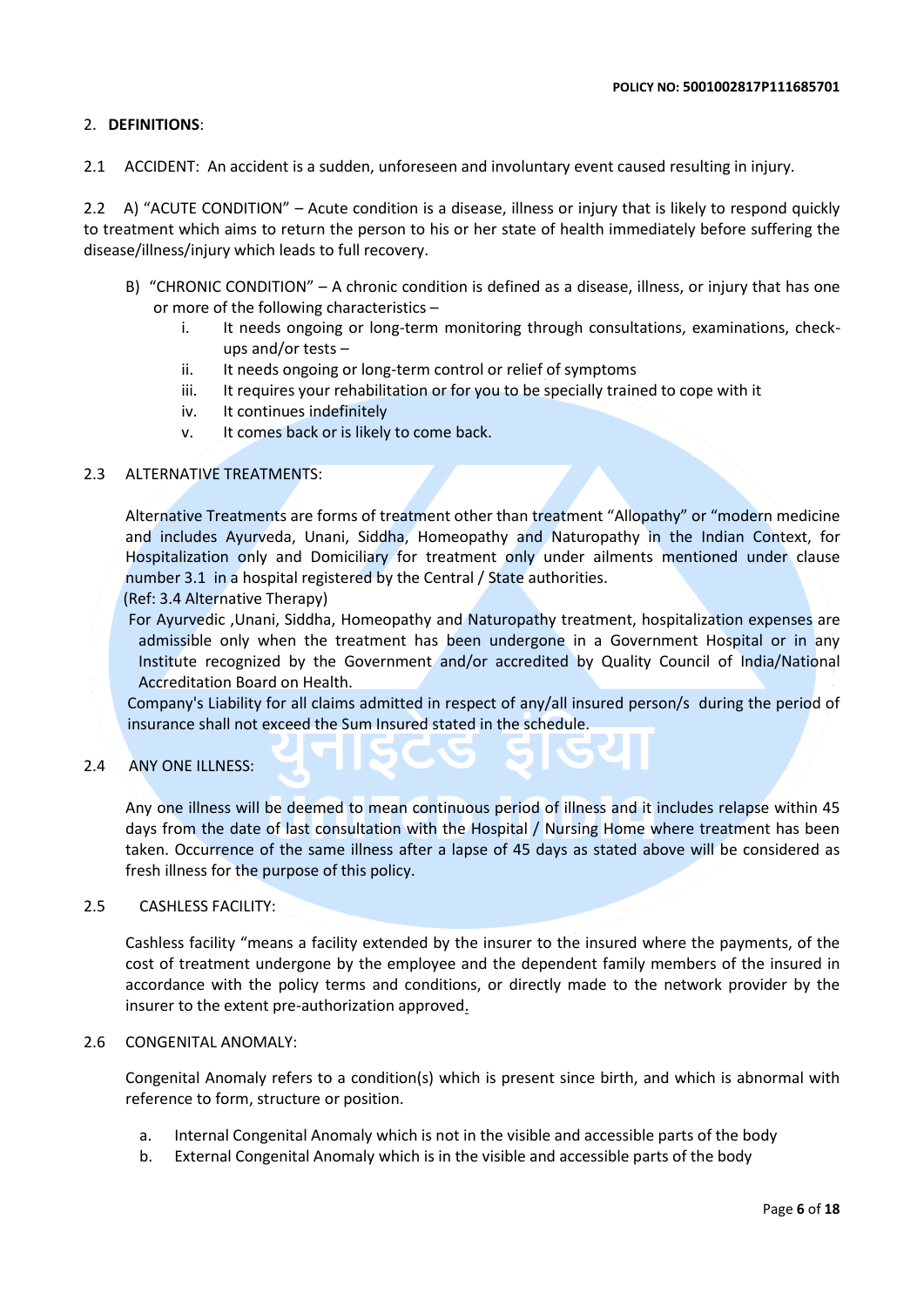### 2. **DEFINITIONS**:

2.1 ACCIDENT: An accident is a sudden, unforeseen and involuntary event caused resulting in injury.

2.2 A) "ACUTE CONDITION" – Acute condition is a disease, illness or injury that is likely to respond quickly to treatment which aims to return the person to his or her state of health immediately before suffering the disease/illness/injury which leads to full recovery.

- B) "CHRONIC CONDITION" A chronic condition is defined as a disease, illness, or injury that has one or more of the following characteristics –
	- i. It needs ongoing or long-term monitoring through consultations, examinations, checkups and/or tests –
	- ii. It needs ongoing or long-term control or relief of symptoms
	- iii. It requires your rehabilitation or for you to be specially trained to cope with it
	- iv. It continues indefinitely
	- v. It comes back or is likely to come back.

### 2.3 ALTERNATIVE TREATMENTS:

Alternative Treatments are forms of treatment other than treatment "Allopathy" or "modern medicine and includes Ayurveda, Unani, Siddha, Homeopathy and Naturopathy in the Indian Context, for Hospitalization only and Domiciliary for treatment only under ailments mentioned under clause number 3.1 in a hospital registered by the Central / State authorities.

(Ref: 3.4 Alternative Therapy)

 For Ayurvedic ,Unani, Siddha, Homeopathy and Naturopathy treatment, hospitalization expenses are admissible only when the treatment has been undergone in a Government Hospital or in any Institute recognized by the Government and/or accredited by Quality Council of India/National Accreditation Board on Health.

Company's Liability for all claims admitted in respect of any/all insured person/s during the period of insurance shall not exceed the Sum Insured stated in the schedule.

### 2.4 ANY ONE ILLNESS:

Any one illness will be deemed to mean continuous period of illness and it includes relapse within 45 days from the date of last consultation with the Hospital / Nursing Home where treatment has been taken. Occurrence of the same illness after a lapse of 45 days as stated above will be considered as fresh illness for the purpose of this policy.

### 2.5 CASHLESS FACILITY:

Cashless facility "means a facility extended by the insurer to the insured where the payments, of the cost of treatment undergone by the employee and the dependent family members of the insured in accordance with the policy terms and conditions, or directly made to the network provider by the insurer to the extent pre-authorization approved.

### 2.6 CONGENITAL ANOMALY:

Congenital Anomaly refers to a condition(s) which is present since birth, and which is abnormal with reference to form, structure or position.

- a. Internal Congenital Anomaly which is not in the visible and accessible parts of the body
- b. External Congenital Anomaly which is in the visible and accessible parts of the body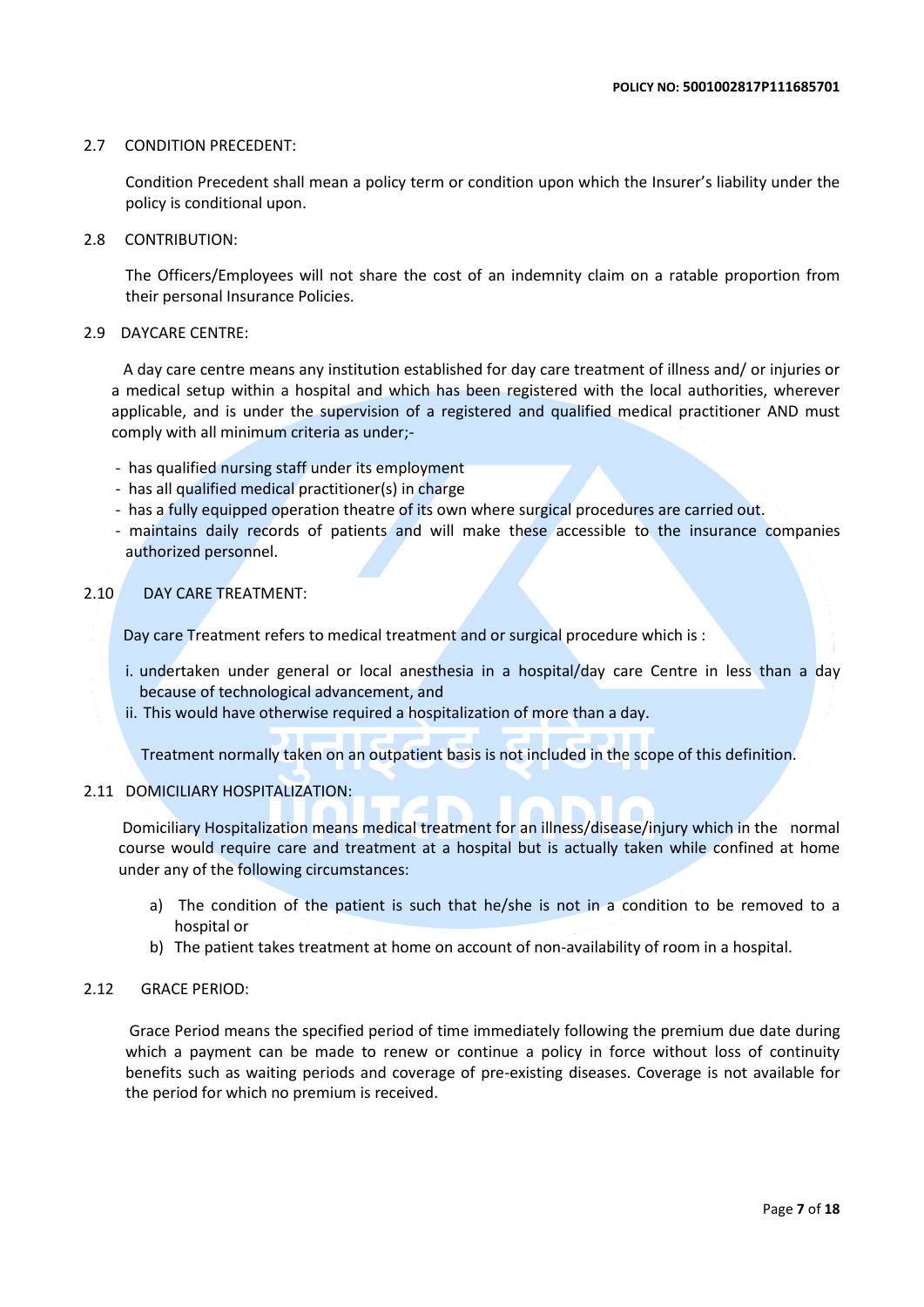### 2.7 CONDITION PRECEDENT:

Condition Precedent shall mean a policy term or condition upon which the Insurer's liability under the policy is conditional upon.

2.8 CONTRIBUTION:

The Officers/Employees will not share the cost of an indemnity claim on a ratable proportion from their personal Insurance Policies.

### 2.9 DAYCARE CENTRE:

 A day care centre means any institution established for day care treatment of illness and/ or injuries or a medical setup within a hospital and which has been registered with the local authorities, wherever applicable, and is under the supervision of a registered and qualified medical practitioner AND must comply with all minimum criteria as under;-

- has qualified nursing staff under its employment
- has all qualified medical practitioner(s) in charge
- has a fully equipped operation theatre of its own where surgical procedures are carried out.
- maintains daily records of patients and will make these accessible to the insurance companies authorized personnel.

### 2.10 DAY CARE TREATMENT:

Day care Treatment refers to medical treatment and or surgical procedure which is :

- i. undertaken under general or local anesthesia in a hospital/day care Centre in less than a day because of technological advancement, and
- ii. This would have otherwise required a hospitalization of more than a day.

Treatment normally taken on an outpatient basis is not included in the scope of this definition.

### 2.11 DOMICILIARY HOSPITALIZATION:

Domiciliary Hospitalization means medical treatment for an illness/disease/injury which in the normal course would require care and treatment at a hospital but is actually taken while confined at home under any of the following circumstances:

- a) The condition of the patient is such that he/she is not in a condition to be removed to a hospital or
- b) The patient takes treatment at home on account of non-availability of room in a hospital.

### 2.12 GRACE PERIOD:

Grace Period means the specified period of time immediately following the premium due date during which a payment can be made to renew or continue a policy in force without loss of continuity benefits such as waiting periods and coverage of pre-existing diseases. Coverage is not available for the period for which no premium is received.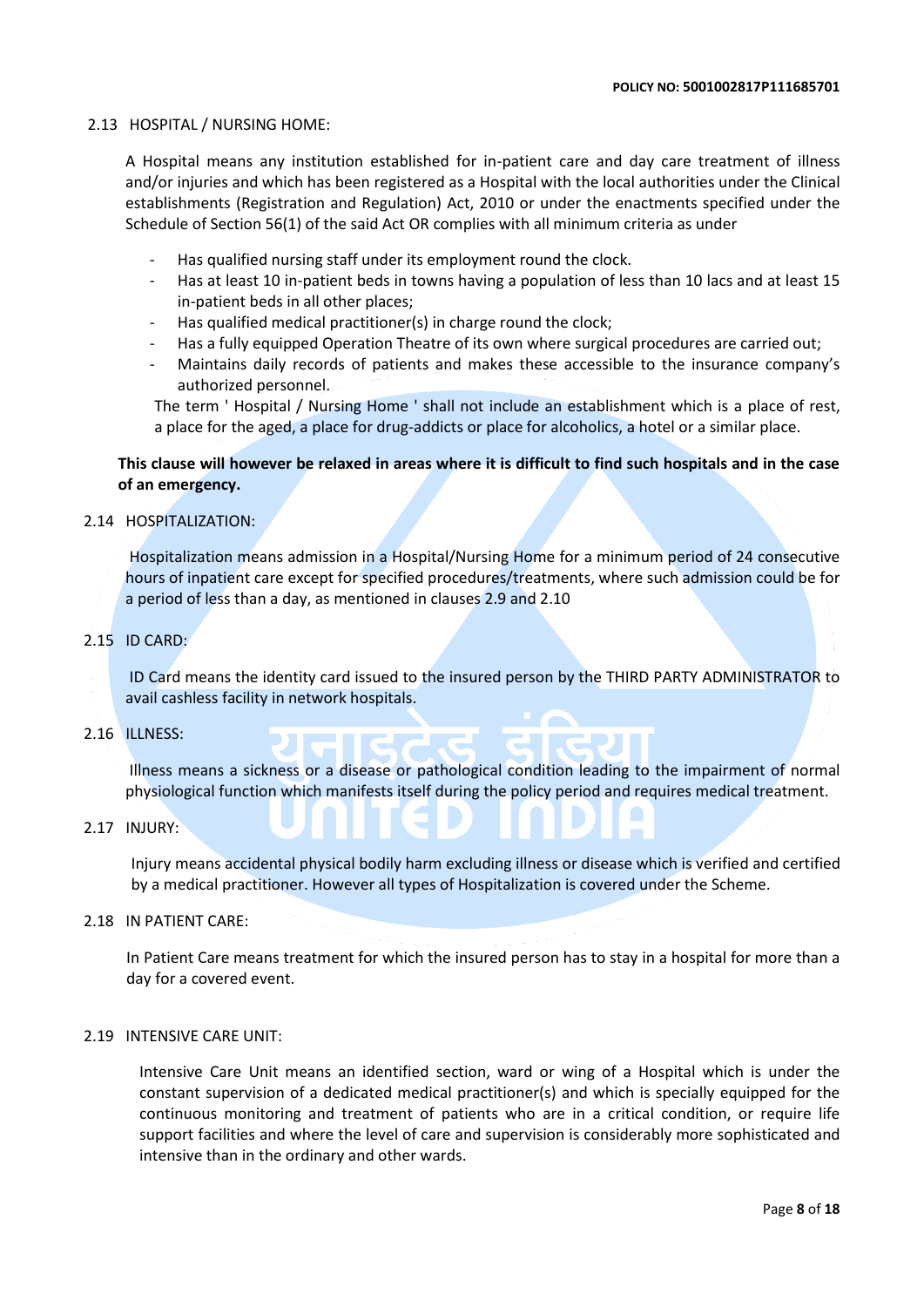### 2.13 HOSPITAL / NURSING HOME:

A Hospital means any institution established for in-patient care and day care treatment of illness and/or injuries and which has been registered as a Hospital with the local authorities under the Clinical establishments (Registration and Regulation) Act, 2010 or under the enactments specified under the Schedule of Section 56(1) of the said Act OR complies with all minimum criteria as under

- Has qualified nursing staff under its employment round the clock.
- Has at least 10 in-patient beds in towns having a population of less than 10 lacs and at least 15 in-patient beds in all other places;
- Has qualified medical practitioner(s) in charge round the clock;
- Has a fully equipped Operation Theatre of its own where surgical procedures are carried out;
- Maintains daily records of patients and makes these accessible to the insurance company's authorized personnel.

The term ' Hospital / Nursing Home ' shall not include an establishment which is a place of rest, a place for the aged, a place for drug-addicts or place for alcoholics, a hotel or a similar place.

### **This clause will however be relaxed in areas where it is difficult to find such hospitals and in the case of an emergency.**

### 2.14 HOSPITALIZATION:

Hospitalization means admission in a Hospital/Nursing Home for a minimum period of 24 consecutive hours of inpatient care except for specified procedures/treatments, where such admission could be for a period of less than a day, as mentioned in clauses 2.9 and 2.10

### 2.15 ID CARD:

ID Card means the identity card issued to the insured person by the THIRD PARTY ADMINISTRATOR to avail cashless facility in network hospitals.

### 2.16 ILLNESS:

Illness means a sickness or a disease or pathological condition leading to the impairment of normal physiological function which manifests itself during the policy period and requires medical treatment.

### 2.17 INJURY:

Injury means accidental physical bodily harm excluding illness or disease which is verified and certified by a medical practitioner. However all types of Hospitalization is covered under the Scheme.

### 2.18 IN PATIENT CARE:

In Patient Care means treatment for which the insured person has to stay in a hospital for more than a day for a covered event.

### 2.19 INTENSIVE CARE UNIT:

Intensive Care Unit means an identified section, ward or wing of a Hospital which is under the constant supervision of a dedicated medical practitioner(s) and which is specially equipped for the continuous monitoring and treatment of patients who are in a critical condition, or require life support facilities and where the level of care and supervision is considerably more sophisticated and intensive than in the ordinary and other wards.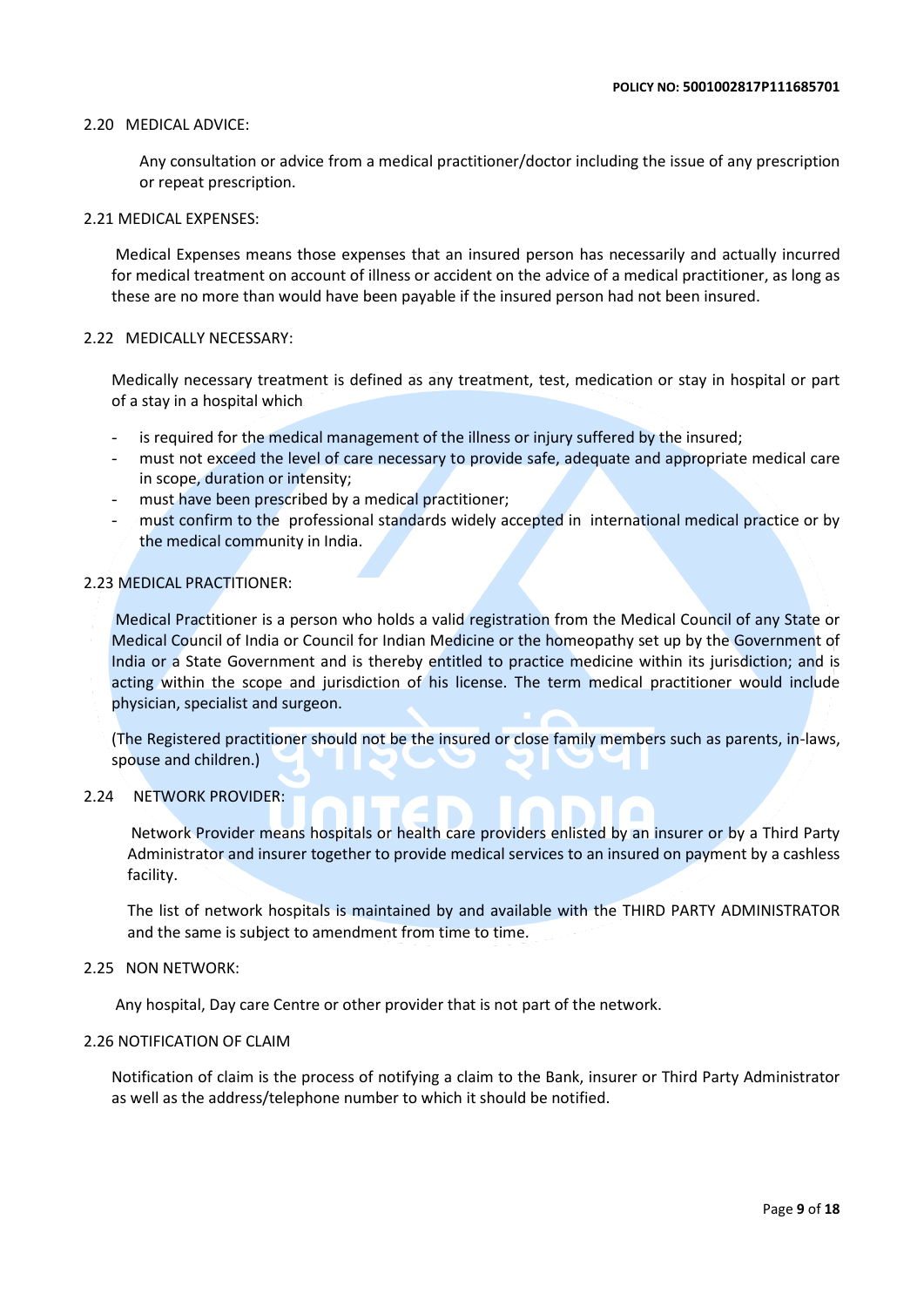### 2.20 MEDICAL ADVICE:

Any consultation or advice from a medical practitioner/doctor including the issue of any prescription or repeat prescription.

### 2.21 MEDICAL EXPENSES:

Medical Expenses means those expenses that an insured person has necessarily and actually incurred for medical treatment on account of illness or accident on the advice of a medical practitioner, as long as these are no more than would have been payable if the insured person had not been insured.

### 2.22 MEDICALLY NECESSARY:

Medically necessary treatment is defined as any treatment, test, medication or stay in hospital or part of a stay in a hospital which

- is required for the medical management of the illness or injury suffered by the insured;
- must not exceed the level of care necessary to provide safe, adequate and appropriate medical care in scope, duration or intensity;
- must have been prescribed by a medical practitioner;
- must confirm to the professional standards widely accepted in international medical practice or by the medical community in India.

### 2.23 MEDICAL PRACTITIONER:

Medical Practitioner is a person who holds a valid registration from the Medical Council of any State or Medical Council of India or Council for Indian Medicine or the homeopathy set up by the Government of India or a State Government and is thereby entitled to practice medicine within its jurisdiction; and is acting within the scope and jurisdiction of his license. The term medical practitioner would include physician, specialist and surgeon.

(The Registered practitioner should not be the insured or close family members such as parents, in-laws, spouse and children.)

### 2.24 NETWORK PROVIDER:

 Network Provider means hospitals or health care providers enlisted by an insurer or by a Third Party Administrator and insurer together to provide medical services to an insured on payment by a cashless facility.

The list of network hospitals is maintained by and available with the THIRD PARTY ADMINISTRATOR and the same is subject to amendment from time to time.

### 2.25 NON NETWORK:

Any hospital, Day care Centre or other provider that is not part of the network.

### 2.26 NOTIFICATION OF CLAIM

Notification of claim is the process of notifying a claim to the Bank, insurer or Third Party Administrator as well as the address/telephone number to which it should be notified.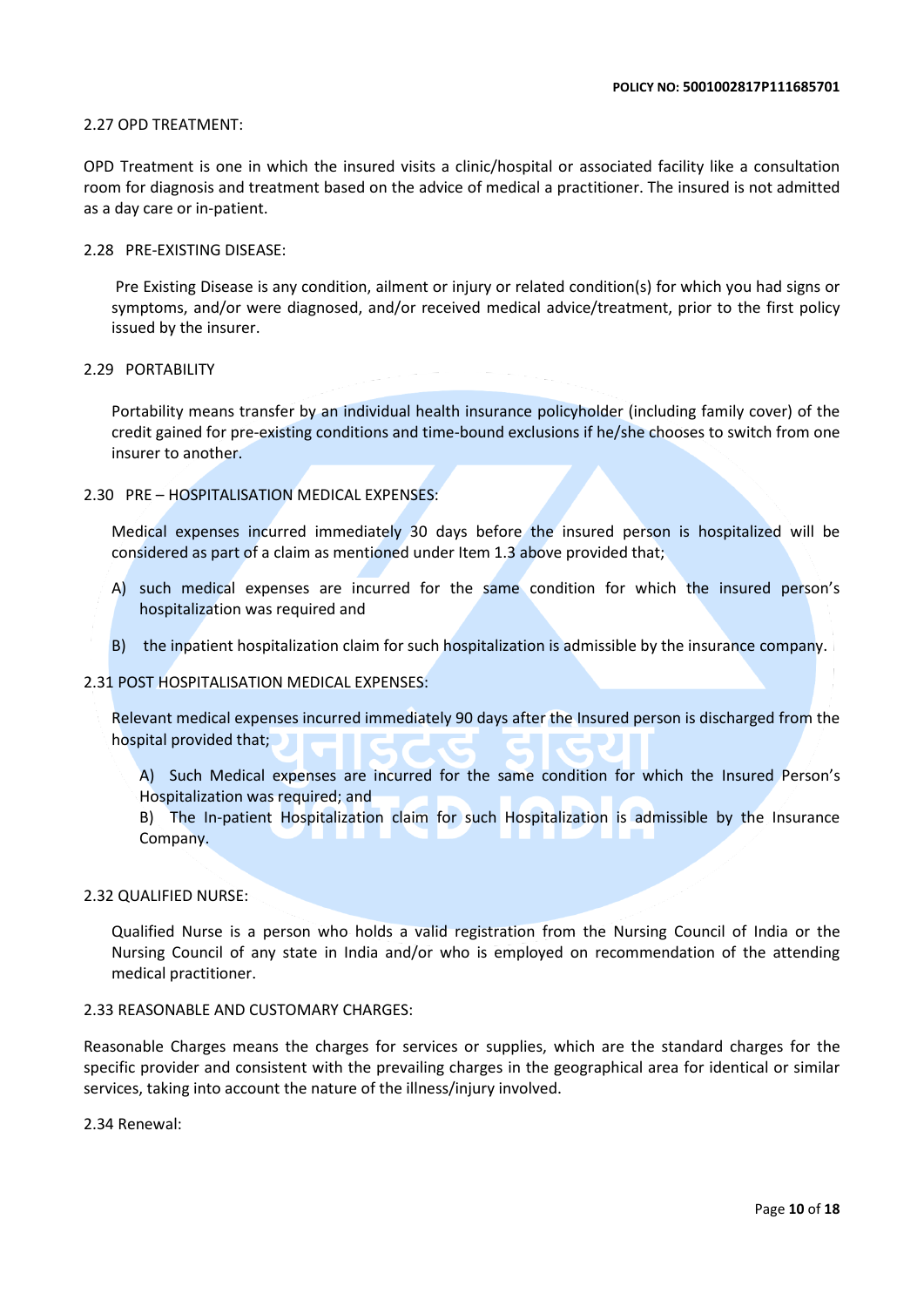### 2.27 OPD TREATMENT:

OPD Treatment is one in which the insured visits a clinic/hospital or associated facility like a consultation room for diagnosis and treatment based on the advice of medical a practitioner. The insured is not admitted as a day care or in-patient.

### 2.28 PRE-EXISTING DISEASE:

Pre Existing Disease is any condition, ailment or injury or related condition(s) for which you had signs or symptoms, and/or were diagnosed, and/or received medical advice/treatment, prior to the first policy issued by the insurer.

### 2.29 PORTABILITY

Portability means transfer by an individual health insurance policyholder (including family cover) of the credit gained for pre-existing conditions and time-bound exclusions if he/she chooses to switch from one insurer to another.

### 2.30 PRE – HOSPITALISATION MEDICAL EXPENSES:

Medical expenses incurred immediately 30 days before the insured person is hospitalized will be considered as part of a claim as mentioned under Item 1.3 above provided that;

- A) such medical expenses are incurred for the same condition for which the insured person's hospitalization was required and
- B) the inpatient hospitalization claim for such hospitalization is admissible by the insurance company.

### 2.31 POST HOSPITALISATION MEDICAL EXPENSES:

Relevant medical expenses incurred immediately 90 days after the Insured person is discharged from the hospital provided that;

A) Such Medical expenses are incurred for the same condition for which the Insured Person's Hospitalization was required; and

B) The In-patient Hospitalization claim for such Hospitalization is admissible by the Insurance Company.

### 2.32 QUALIFIED NURSE:

Qualified Nurse is a person who holds a valid registration from the Nursing Council of India or the Nursing Council of any state in India and/or who is employed on recommendation of the attending medical practitioner.

### 2.33 REASONABLE AND CUSTOMARY CHARGES:

Reasonable Charges means the charges for services or supplies, which are the standard charges for the specific provider and consistent with the prevailing charges in the geographical area for identical or similar services, taking into account the nature of the illness/injury involved.

2.34 Renewal: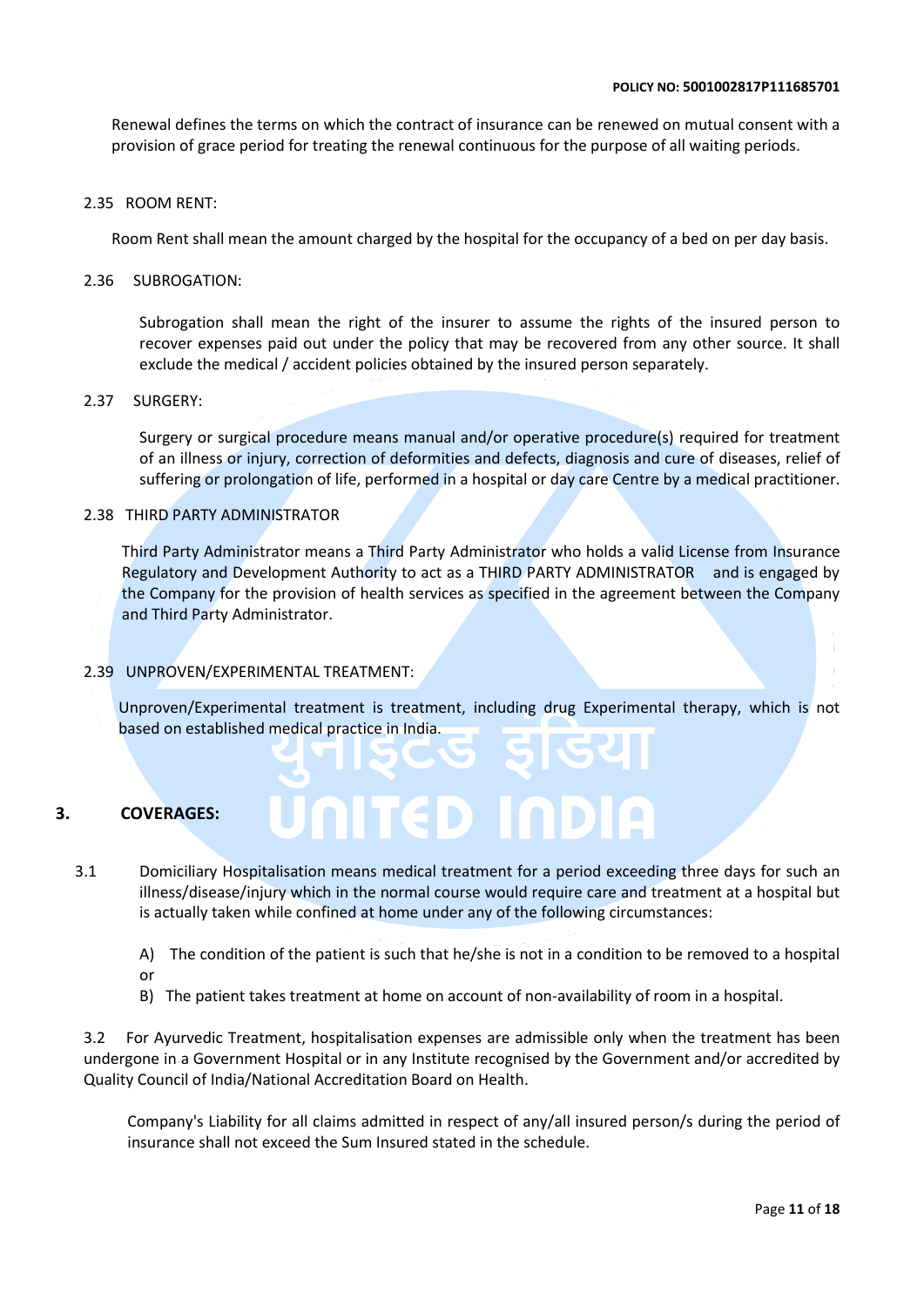Renewal defines the terms on which the contract of insurance can be renewed on mutual consent with a provision of grace period for treating the renewal continuous for the purpose of all waiting periods.

### 2.35 ROOM RENT:

Room Rent shall mean the amount charged by the hospital for the occupancy of a bed on per day basis.

### 2.36 SUBROGATION:

Subrogation shall mean the right of the insurer to assume the rights of the insured person to recover expenses paid out under the policy that may be recovered from any other source. It shall exclude the medical / accident policies obtained by the insured person separately.

### 2.37 SURGERY:

Surgery or surgical procedure means manual and/or operative procedure(s) required for treatment of an illness or injury, correction of deformities and defects, diagnosis and cure of diseases, relief of suffering or prolongation of life, performed in a hospital or day care Centre by a medical practitioner.

### 2.38 THIRD PARTY ADMINISTRATOR

Third Party Administrator means a Third Party Administrator who holds a valid License from Insurance Regulatory and Development Authority to act as a THIRD PARTY ADMINISTRATOR and is engaged by the Company for the provision of health services as specified in the agreement between the Company and Third Party Administrator.

### 2.39 UNPROVEN/EXPERIMENTAL TREATMENT:

Unproven/Experimental treatment is treatment, including drug Experimental therapy, which is not based on established medical practice in India.

### **3. COVERAGES:**

 3.1 Domiciliary Hospitalisation means medical treatment for a period exceeding three days for such an illness/disease/injury which in the normal course would require care and treatment at a hospital but is actually taken while confined at home under any of the following circumstances:

**AITED INDI** 

- A) The condition of the patient is such that he/she is not in a condition to be removed to a hospital or
- B) The patient takes treatment at home on account of non-availability of room in a hospital.

3.2 For Ayurvedic Treatment, hospitalisation expenses are admissible only when the treatment has been undergone in a Government Hospital or in any Institute recognised by the Government and/or accredited by Quality Council of India/National Accreditation Board on Health.

Company's Liability for all claims admitted in respect of any/all insured person/s during the period of insurance shall not exceed the Sum Insured stated in the schedule.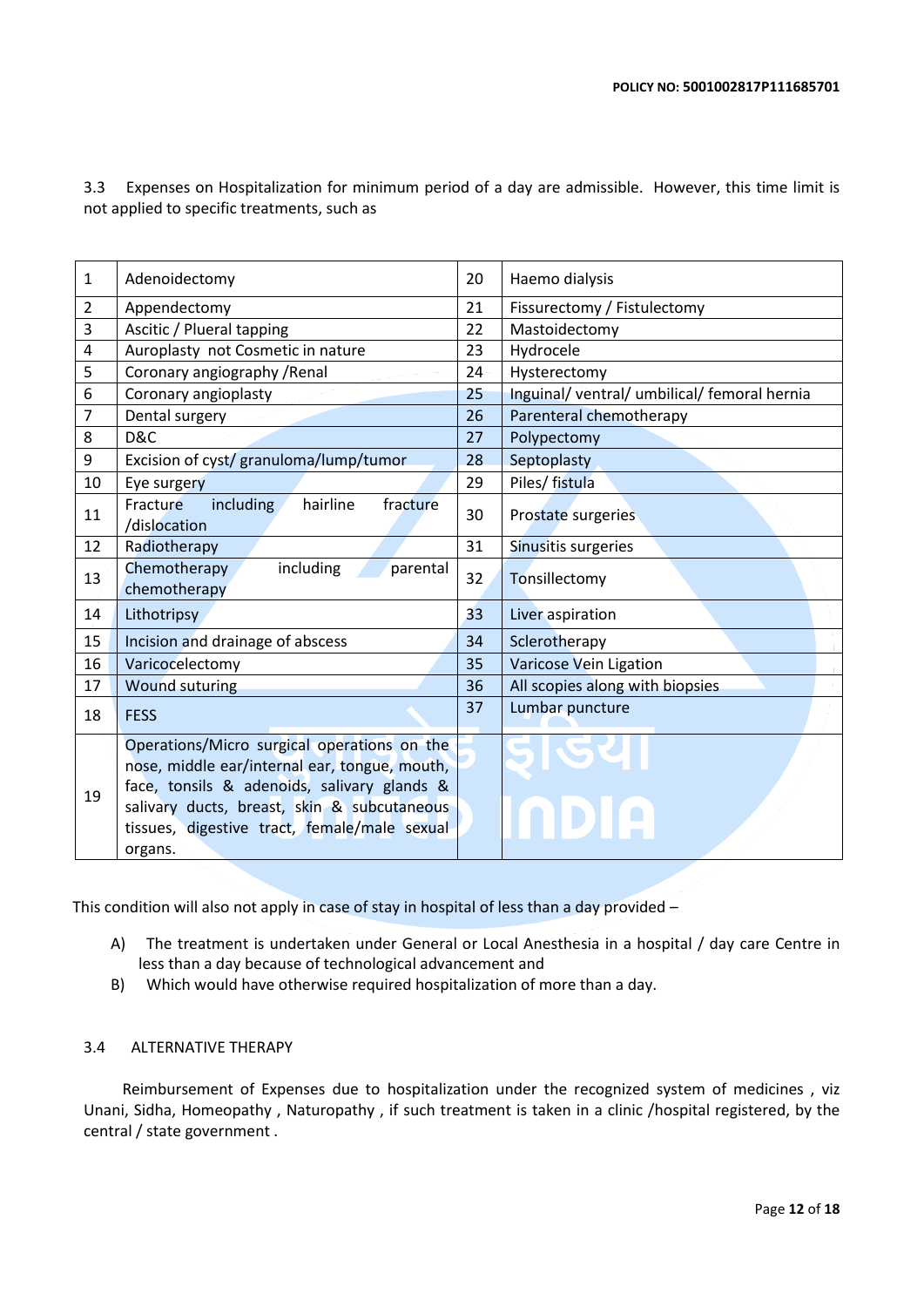3.3 Expenses on Hospitalization for minimum period of a day are admissible. However, this time limit is not applied to specific treatments, such as

| 1  | Adenoidectomy                                                                                                                                                                                                                                         | 20 | Haemo dialysis                               |
|----|-------------------------------------------------------------------------------------------------------------------------------------------------------------------------------------------------------------------------------------------------------|----|----------------------------------------------|
| 2  | Appendectomy                                                                                                                                                                                                                                          | 21 | Fissurectomy / Fistulectomy                  |
| 3  | Ascitic / Plueral tapping                                                                                                                                                                                                                             | 22 | Mastoidectomy                                |
| 4  | Auroplasty not Cosmetic in nature                                                                                                                                                                                                                     | 23 | Hydrocele                                    |
| 5  | Coronary angiography / Renal                                                                                                                                                                                                                          | 24 | Hysterectomy                                 |
| 6  | Coronary angioplasty                                                                                                                                                                                                                                  | 25 | Inguinal/ ventral/ umbilical/ femoral hernia |
| 7  | Dental surgery                                                                                                                                                                                                                                        | 26 | Parenteral chemotherapy                      |
| 8  | D&C                                                                                                                                                                                                                                                   | 27 | Polypectomy                                  |
| 9  | Excision of cyst/ granuloma/lump/tumor                                                                                                                                                                                                                | 28 | Septoplasty                                  |
| 10 | Eye surgery                                                                                                                                                                                                                                           | 29 | Piles/ fistula                               |
| 11 | hairline<br>including<br>fracture<br>Fracture<br>/dislocation                                                                                                                                                                                         | 30 | Prostate surgeries                           |
| 12 | Radiotherapy                                                                                                                                                                                                                                          | 31 | Sinusitis surgeries                          |
| 13 | including<br>Chemotherapy<br>parental<br>chemotherapy                                                                                                                                                                                                 | 32 | Tonsillectomy                                |
| 14 | Lithotripsy                                                                                                                                                                                                                                           | 33 | Liver aspiration                             |
| 15 | Incision and drainage of abscess                                                                                                                                                                                                                      | 34 | Sclerotherapy                                |
| 16 | Varicocelectomy                                                                                                                                                                                                                                       | 35 | Varicose Vein Ligation                       |
| 17 | <b>Wound suturing</b>                                                                                                                                                                                                                                 | 36 | All scopies along with biopsies              |
| 18 | <b>FESS</b>                                                                                                                                                                                                                                           | 37 | Lumbar puncture                              |
| 19 | Operations/Micro surgical operations on the<br>nose, middle ear/internal ear, tongue, mouth,<br>face, tonsils & adenoids, salivary glands &<br>salivary ducts, breast, skin & subcutaneous<br>tissues, digestive tract, female/male sexual<br>organs. |    |                                              |

This condition will also not apply in case of stay in hospital of less than a day provided –

- A) The treatment is undertaken under General or Local Anesthesia in a hospital / day care Centre in less than a day because of technological advancement and
- B) Which would have otherwise required hospitalization of more than a day.

### 3.4 ALTERNATIVE THERAPY

 Reimbursement of Expenses due to hospitalization under the recognized system of medicines , viz Unani, Sidha, Homeopathy , Naturopathy , if such treatment is taken in a clinic /hospital registered, by the central / state government .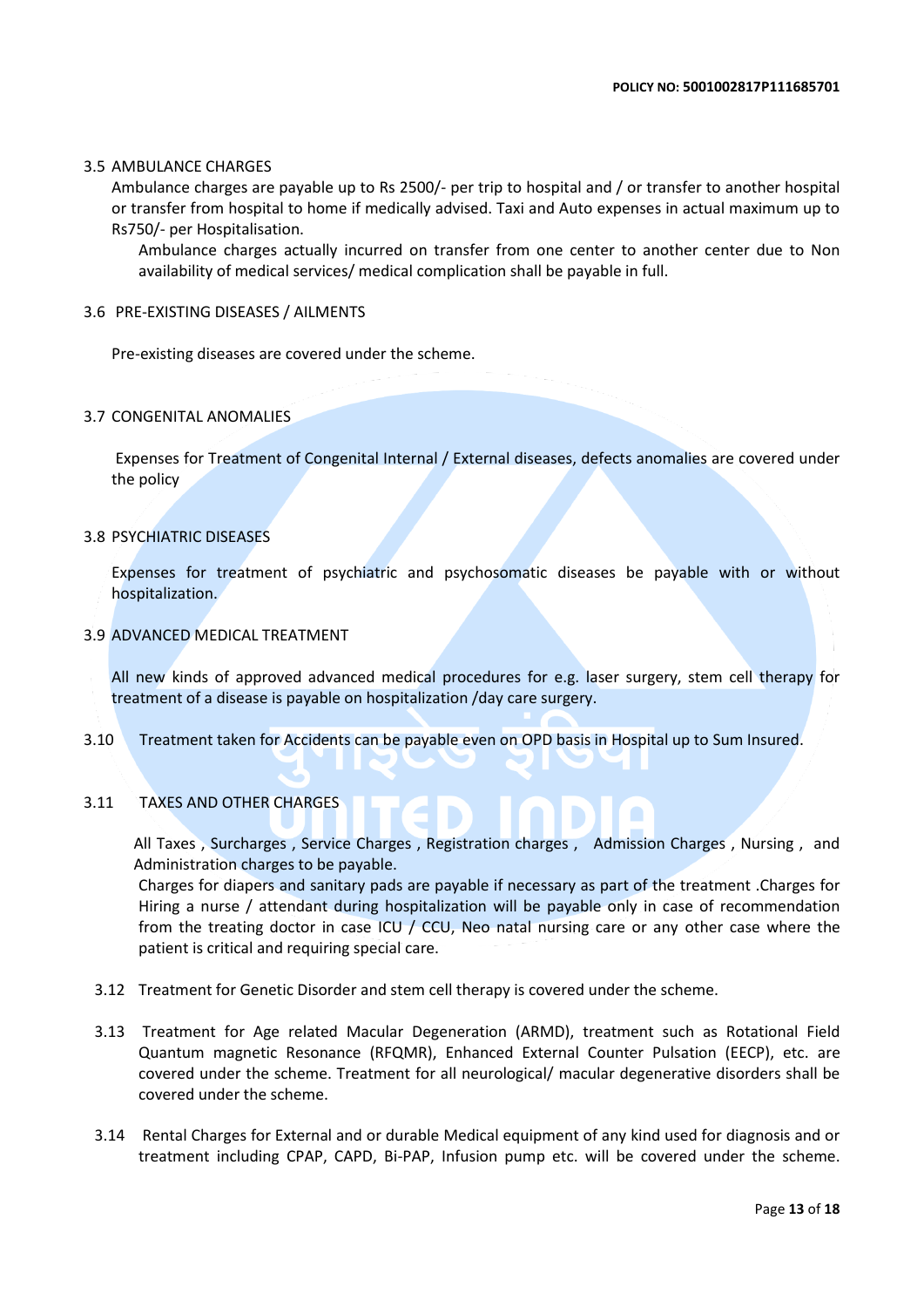### 3.5 AMBULANCE CHARGES

Ambulance charges are payable up to Rs 2500/- per trip to hospital and / or transfer to another hospital or transfer from hospital to home if medically advised. Taxi and Auto expenses in actual maximum up to Rs750/- per Hospitalisation.

Ambulance charges actually incurred on transfer from one center to another center due to Non availability of medical services/ medical complication shall be payable in full.

### 3.6 PRE-EXISTING DISEASES / AILMENTS

Pre-existing diseases are covered under the scheme.

### 3.7 CONGENITAL ANOMALIES

Expenses for Treatment of Congenital Internal / External diseases, defects anomalies are covered under the policy

### 3.8 PSYCHIATRIC DISEASES

Expenses for treatment of psychiatric and psychosomatic diseases be payable with or without hospitalization.

### 3.9 ADVANCED MEDICAL TREATMENT

All new kinds of approved advanced medical procedures for e.g. laser surgery, stem cell therapy for treatment of a disease is payable on hospitalization /day care surgery.

3.10 Treatment taken for Accidents can be payable even on OPD basis in Hospital up to Sum Insured.

### 3.11 TAXES AND OTHER CHARGES

All Taxes , Surcharges , Service Charges , Registration charges , Admission Charges , Nursing , and Administration charges to be payable.

۰

Charges for diapers and sanitary pads are payable if necessary as part of the treatment .Charges for Hiring a nurse / attendant during hospitalization will be payable only in case of recommendation from the treating doctor in case ICU / CCU, Neo natal nursing care or any other case where the patient is critical and requiring special care.

- 3.12 Treatment for Genetic Disorder and stem cell therapy is covered under the scheme.
- 3.13 Treatment for Age related Macular Degeneration (ARMD), treatment such as Rotational Field Quantum magnetic Resonance (RFQMR), Enhanced External Counter Pulsation (EECP), etc. are covered under the scheme. Treatment for all neurological/ macular degenerative disorders shall be covered under the scheme.
- 3.14 Rental Charges for External and or durable Medical equipment of any kind used for diagnosis and or treatment including CPAP, CAPD, Bi-PAP, Infusion pump etc. will be covered under the scheme.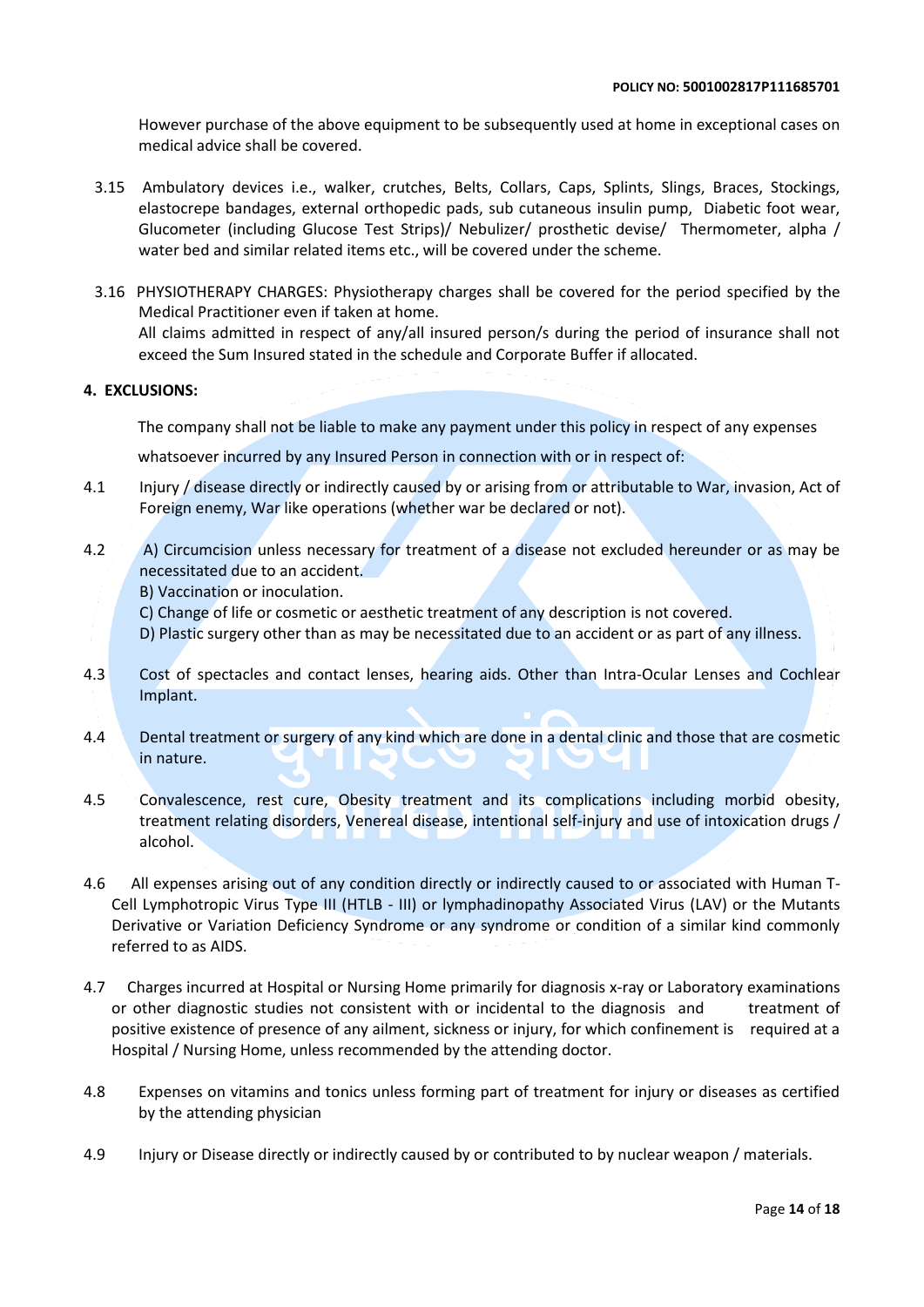However purchase of the above equipment to be subsequently used at home in exceptional cases on medical advice shall be covered.

- 3.15 Ambulatory devices i.e., walker, crutches, Belts, Collars, Caps, Splints, Slings, Braces, Stockings, elastocrepe bandages, external orthopedic pads, sub cutaneous insulin pump, Diabetic foot wear, Glucometer (including Glucose Test Strips)/ Nebulizer/ prosthetic devise/ Thermometer, alpha / water bed and similar related items etc., will be covered under the scheme.
- 3.16 PHYSIOTHERAPY CHARGES: Physiotherapy charges shall be covered for the period specified by the Medical Practitioner even if taken at home. All claims admitted in respect of any/all insured person/s during the period of insurance shall not exceed the Sum Insured stated in the schedule and Corporate Buffer if allocated.

### **4. EXCLUSIONS:**

The company shall not be liable to make any payment under this policy in respect of any expenses

whatsoever incurred by any Insured Person in connection with or in respect of:

- 4.1 Injury / disease directly or indirectly caused by or arising from or attributable to War, invasion, Act of Foreign enemy, War like operations (whether war be declared or not).
- 4.2 A) Circumcision unless necessary for treatment of a disease not excluded hereunder or as may be necessitated due to an accident.
	- B) Vaccination or inoculation.
	- C) Change of life or cosmetic or aesthetic treatment of any description is not covered.
	- D) Plastic surgery other than as may be necessitated due to an accident or as part of any illness.
- 4.3 Cost of spectacles and contact lenses, hearing aids. Other than Intra-Ocular Lenses and Cochlear Implant.
- 4.4 Dental treatment or surgery of any kind which are done in a dental clinic and those that are cosmetic in nature.
- 4.5 Convalescence, rest cure, Obesity treatment and its complications including morbid obesity, treatment relating disorders, Venereal disease, intentional self-injury and use of intoxication drugs / alcohol.
- 4.6 All expenses arising out of any condition directly or indirectly caused to or associated with Human T-Cell Lymphotropic Virus Type III (HTLB - III) or lymphadinopathy Associated Virus (LAV) or the Mutants Derivative or Variation Deficiency Syndrome or any syndrome or condition of a similar kind commonly referred to as AIDS.
- 4.7 Charges incurred at Hospital or Nursing Home primarily for diagnosis x-ray or Laboratory examinations or other diagnostic studies not consistent with or incidental to the diagnosis and treatment of positive existence of presence of any ailment, sickness or injury, for which confinement is required at a Hospital / Nursing Home, unless recommended by the attending doctor.
- 4.8 Expenses on vitamins and tonics unless forming part of treatment for injury or diseases as certified by the attending physician
- 4.9 Injury or Disease directly or indirectly caused by or contributed to by nuclear weapon / materials.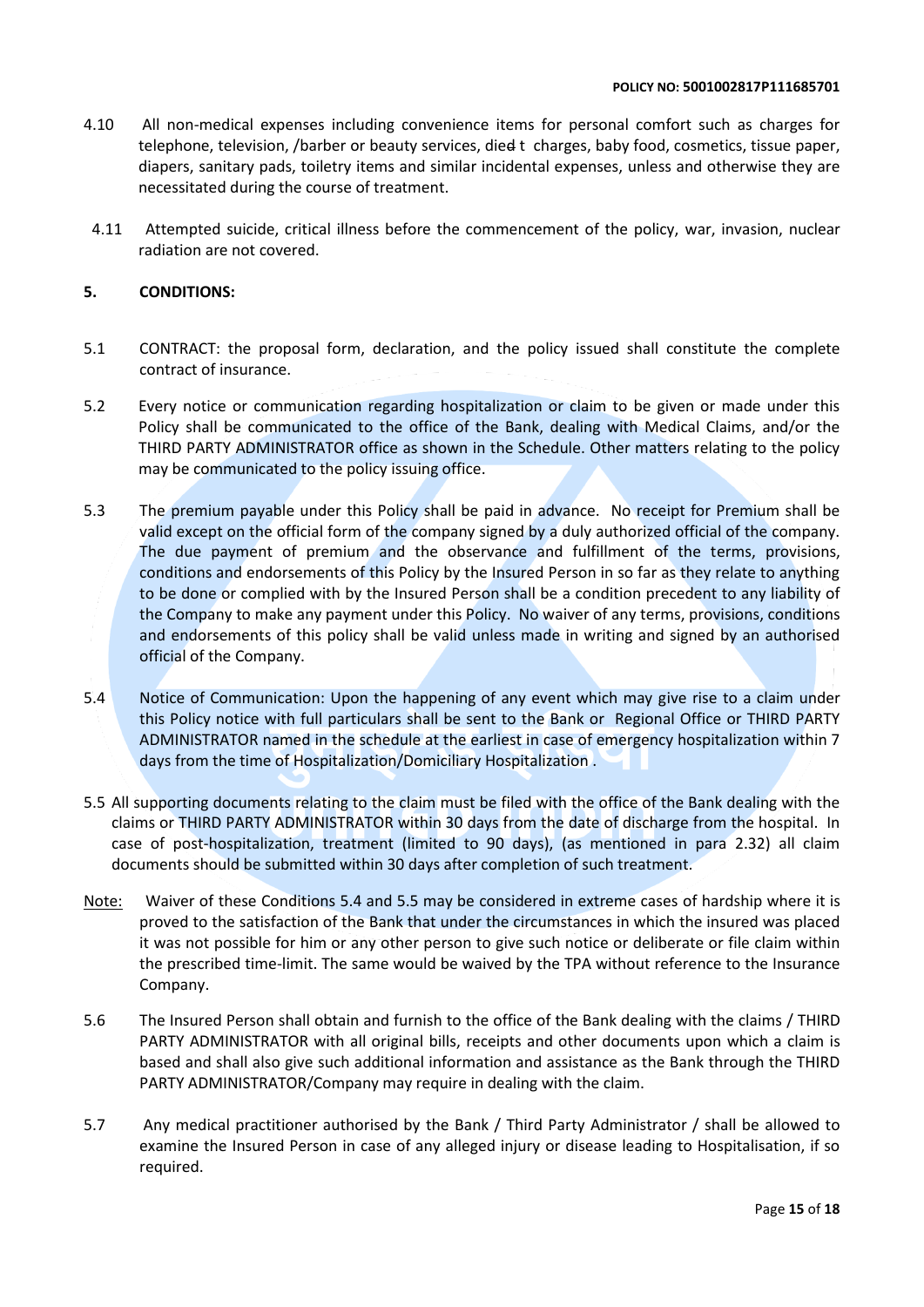- 4.10 All non-medical expenses including convenience items for personal comfort such as charges for telephone, television, /barber or beauty services, died t charges, baby food, cosmetics, tissue paper, diapers, sanitary pads, toiletry items and similar incidental expenses, unless and otherwise they are necessitated during the course of treatment.
- 4.11 Attempted suicide, critical illness before the commencement of the policy, war, invasion, nuclear radiation are not covered.

### **5. CONDITIONS:**

- 5.1 CONTRACT: the proposal form, declaration, and the policy issued shall constitute the complete contract of insurance.
- 5.2 Every notice or communication regarding hospitalization or claim to be given or made under this Policy shall be communicated to the office of the Bank, dealing with Medical Claims, and/or the THIRD PARTY ADMINISTRATOR office as shown in the Schedule. Other matters relating to the policy may be communicated to the policy issuing office.
- 5.3 The premium payable under this Policy shall be paid in advance. No receipt for Premium shall be valid except on the official form of the company signed by a duly authorized official of the company. The due payment of premium and the observance and fulfillment of the terms, provisions, conditions and endorsements of this Policy by the Insured Person in so far as they relate to anything to be done or complied with by the Insured Person shall be a condition precedent to any liability of the Company to make any payment under this Policy. No waiver of any terms, provisions, conditions and endorsements of this policy shall be valid unless made in writing and signed by an authorised official of the Company.
- 5.4 Notice of Communication: Upon the happening of any event which may give rise to a claim under this Policy notice with full particulars shall be sent to the Bank or Regional Office or THIRD PARTY ADMINISTRATOR named in the schedule at the earliest in case of emergency hospitalization within 7 days from the time of Hospitalization/Domiciliary Hospitalization .
- 5.5 All supporting documents relating to the claim must be filed with the office of the Bank dealing with the claims or THIRD PARTY ADMINISTRATOR within 30 days from the date of discharge from the hospital. In case of post-hospitalization, treatment (limited to 90 days), (as mentioned in para 2.32) all claim documents should be submitted within 30 days after completion of such treatment.
- Note: Waiver of these Conditions 5.4 and 5.5 may be considered in extreme cases of hardship where it is proved to the satisfaction of the Bank that under the circumstances in which the insured was placed it was not possible for him or any other person to give such notice or deliberate or file claim within the prescribed time-limit. The same would be waived by the TPA without reference to the Insurance Company.
- 5.6 The Insured Person shall obtain and furnish to the office of the Bank dealing with the claims / THIRD PARTY ADMINISTRATOR with all original bills, receipts and other documents upon which a claim is based and shall also give such additional information and assistance as the Bank through the THIRD PARTY ADMINISTRATOR/Company may require in dealing with the claim.
- 5.7 Any medical practitioner authorised by the Bank / Third Party Administrator / shall be allowed to examine the Insured Person in case of any alleged injury or disease leading to Hospitalisation, if so required.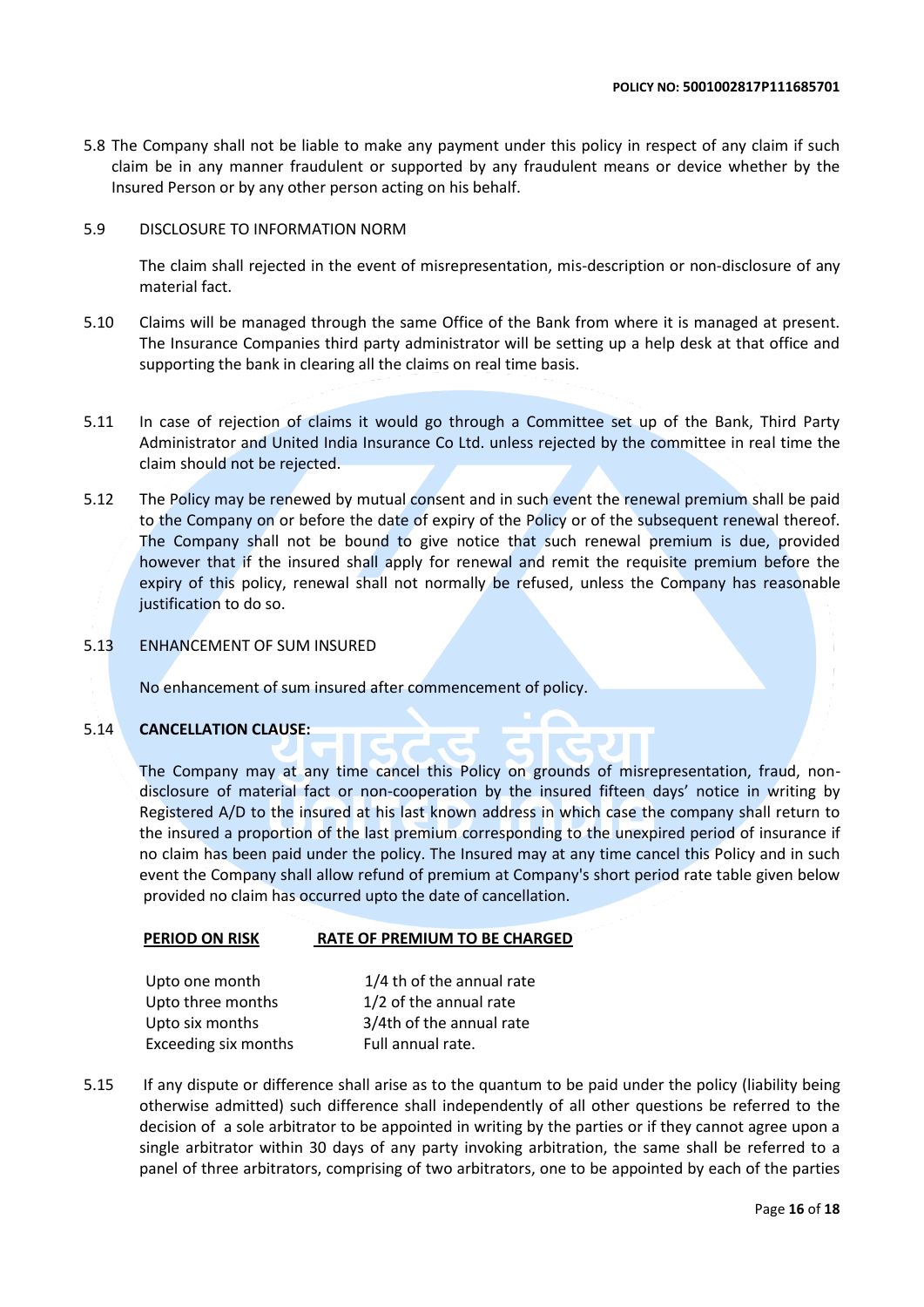5.8 The Company shall not be liable to make any payment under this policy in respect of any claim if such claim be in any manner fraudulent or supported by any fraudulent means or device whether by the Insured Person or by any other person acting on his behalf.

### 5.9 DISCLOSURE TO INFORMATION NORM

The claim shall rejected in the event of misrepresentation, mis-description or non-disclosure of any material fact.

- 5.10 Claims will be managed through the same Office of the Bank from where it is managed at present. The Insurance Companies third party administrator will be setting up a help desk at that office and supporting the bank in clearing all the claims on real time basis.
- 5.11 In case of rejection of claims it would go through a Committee set up of the Bank, Third Party Administrator and United India Insurance Co Ltd. unless rejected by the committee in real time the claim should not be rejected.
- 5.12 The Policy may be renewed by mutual consent and in such event the renewal premium shall be paid to the Company on or before the date of expiry of the Policy or of the subsequent renewal thereof. The Company shall not be bound to give notice that such renewal premium is due, provided however that if the insured shall apply for renewal and remit the requisite premium before the expiry of this policy, renewal shall not normally be refused, unless the Company has reasonable justification to do so.
- 5.13 ENHANCEMENT OF SUM INSURED

No enhancement of sum insured after commencement of policy.

### 5.14 **CANCELLATION CLAUSE:**

The Company may at any time cancel this Policy on grounds of misrepresentation, fraud, nondisclosure of material fact or non-cooperation by the insured fifteen days' notice in writing by Registered A/D to the insured at his last known address in which case the company shall return to the insured a proportion of the last premium corresponding to the unexpired period of insurance if no claim has been paid under the policy. The Insured may at any time cancel this Policy and in such event the Company shall allow refund of premium at Company's short period rate table given below provided no claim has occurred upto the date of cancellation.

### **PERIOD ON RISK RATE OF PREMIUM TO BE CHARGED**

| Upto one month       | 1/4 th of the annual rate |
|----------------------|---------------------------|
| Upto three months    | 1/2 of the annual rate    |
| Upto six months      | 3/4th of the annual rate  |
| Exceeding six months | Full annual rate.         |

5.15 If any dispute or difference shall arise as to the quantum to be paid under the policy (liability being otherwise admitted) such difference shall independently of all other questions be referred to the decision of a sole arbitrator to be appointed in writing by the parties or if they cannot agree upon a single arbitrator within 30 days of any party invoking arbitration, the same shall be referred to a panel of three arbitrators, comprising of two arbitrators, one to be appointed by each of the parties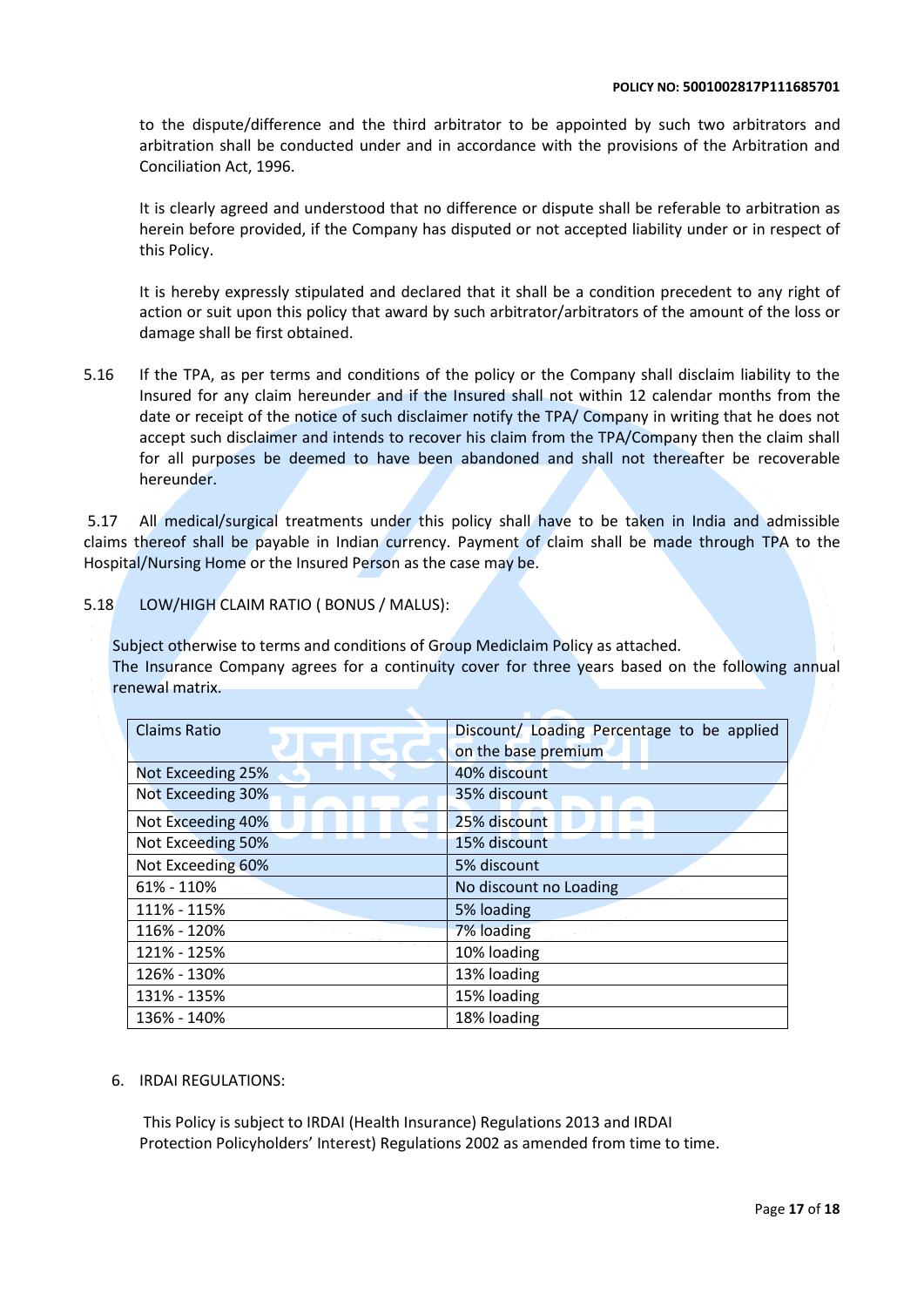to the dispute/difference and the third arbitrator to be appointed by such two arbitrators and arbitration shall be conducted under and in accordance with the provisions of the Arbitration and Conciliation Act, 1996.

It is clearly agreed and understood that no difference or dispute shall be referable to arbitration as herein before provided, if the Company has disputed or not accepted liability under or in respect of this Policy.

It is hereby expressly stipulated and declared that it shall be a condition precedent to any right of action or suit upon this policy that award by such arbitrator/arbitrators of the amount of the loss or damage shall be first obtained.

5.16 If the TPA, as per terms and conditions of the policy or the Company shall disclaim liability to the Insured for any claim hereunder and if the Insured shall not within 12 calendar months from the date or receipt of the notice of such disclaimer notify the TPA/ Company in writing that he does not accept such disclaimer and intends to recover his claim from the TPA/Company then the claim shall for all purposes be deemed to have been abandoned and shall not thereafter be recoverable hereunder.

5.17 All medical/surgical treatments under this policy shall have to be taken in India and admissible claims thereof shall be payable in Indian currency. Payment of claim shall be made through TPA to the Hospital/Nursing Home or the Insured Person as the case may be.

### 5.18 LOW/HIGH CLAIM RATIO ( BONUS / MALUS):

Subject otherwise to terms and conditions of Group Mediclaim Policy as attached. The Insurance Company agrees for a continuity cover for three years based on the following annual renewal matrix.

| Claims Ratio      | Discount/ Loading Percentage to be applied |
|-------------------|--------------------------------------------|
|                   |                                            |
|                   | on the base premium                        |
| Not Exceeding 25% | 40% discount                               |
| Not Exceeding 30% | 35% discount                               |
| Not Exceeding 40% | 25% discount                               |
| Not Exceeding 50% | 15% discount                               |
| Not Exceeding 60% | 5% discount                                |
| 61% - 110%        | No discount no Loading                     |
| 111% - 115%       | 5% loading                                 |
| 116% - 120%       | 7% loading                                 |
| 121% - 125%       | 10% loading                                |
| 126% - 130%       | 13% loading                                |
| 131% - 135%       | 15% loading                                |
| 136% - 140%       | 18% loading                                |

### 6. IRDAI REGULATIONS:

This Policy is subject to IRDAI (Health Insurance) Regulations 2013 and IRDAI Protection Policyholders' Interest) Regulations 2002 as amended from time to time.